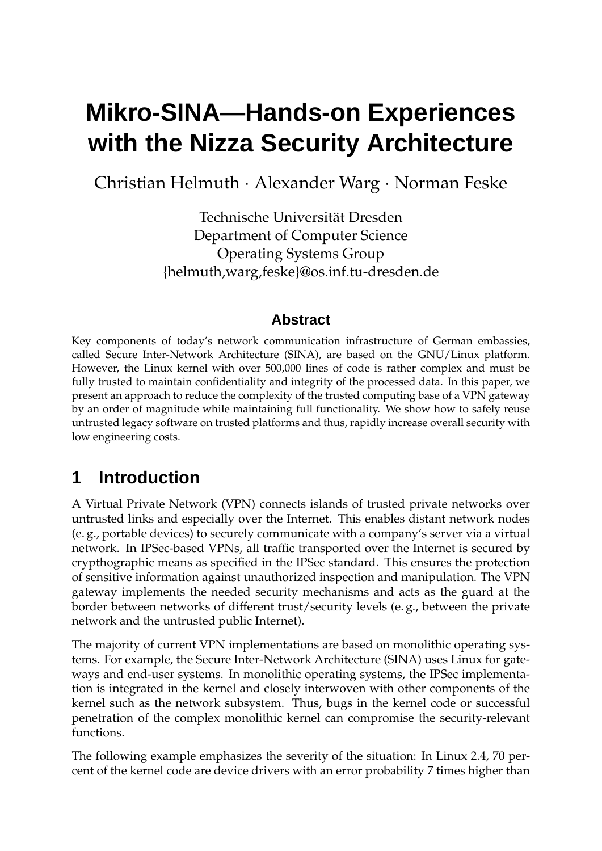# **Mikro-SINA—Hands-on Experiences with the Nizza Security Architecture**

Christian Helmuth · Alexander Warg · Norman Feske

Technische Universität Dresden Department of Computer Science Operating Systems Group {helmuth,warg,feske}@os.inf.tu-dresden.de

### **Abstract**

Key components of today's network communication infrastructure of German embassies, called Secure Inter-Network Architecture (SINA), are based on the GNU/Linux platform. However, the Linux kernel with over 500,000 lines of code is rather complex and must be fully trusted to maintain confidentiality and integrity of the processed data. In this paper, we present an approach to reduce the complexity of the trusted computing base of a VPN gateway by an order of magnitude while maintaining full functionality. We show how to safely reuse untrusted legacy software on trusted platforms and thus, rapidly increase overall security with low engineering costs.

# **1 Introduction**

A Virtual Private Network (VPN) connects islands of trusted private networks over untrusted links and especially over the Internet. This enables distant network nodes (e. g., portable devices) to securely communicate with a company's server via a virtual network. In IPSec-based VPNs, all traffic transported over the Internet is secured by crypthographic means as specified in the IPSec standard. This ensures the protection of sensitive information against unauthorized inspection and manipulation. The VPN gateway implements the needed security mechanisms and acts as the guard at the border between networks of different trust/security levels (e. g., between the private network and the untrusted public Internet).

The majority of current VPN implementations are based on monolithic operating systems. For example, the Secure Inter-Network Architecture (SINA) uses Linux for gateways and end-user systems. In monolithic operating systems, the IPSec implementation is integrated in the kernel and closely interwoven with other components of the kernel such as the network subsystem. Thus, bugs in the kernel code or successful penetration of the complex monolithic kernel can compromise the security-relevant functions.

The following example emphasizes the severity of the situation: In Linux 2.4, 70 percent of the kernel code are device drivers with an error probability 7 times higher than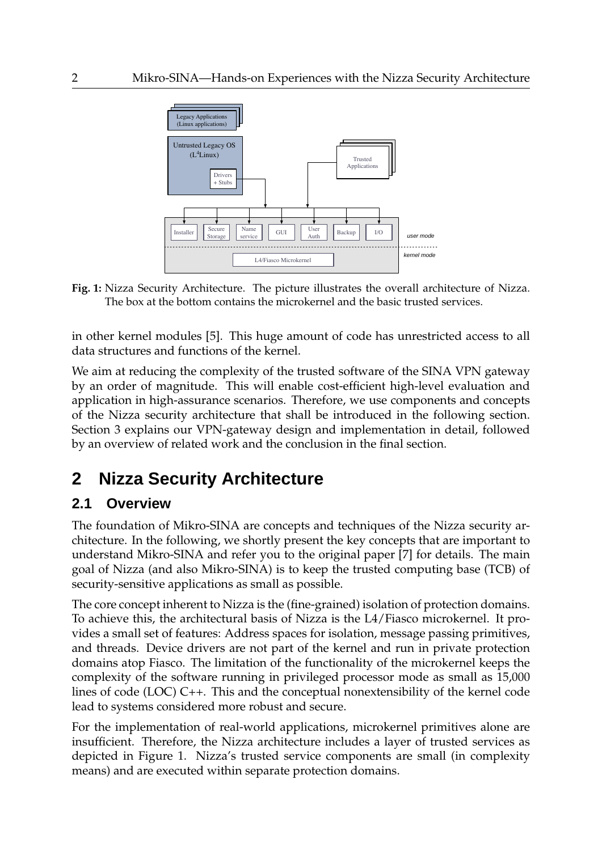

**Fig. 1:** Nizza Security Architecture. The picture illustrates the overall architecture of Nizza. The box at the bottom contains the microkernel and the basic trusted services.

in other kernel modules [5]. This huge amount of code has unrestricted access to all data structures and functions of the kernel.

We aim at reducing the complexity of the trusted software of the SINA VPN gateway by an order of magnitude. This will enable cost-efficient high-level evaluation and application in high-assurance scenarios. Therefore, we use components and concepts of the Nizza security architecture that shall be introduced in the following section. Section 3 explains our VPN-gateway design and implementation in detail, followed by an overview of related work and the conclusion in the final section.

# **2 Nizza Security Architecture**

### **2.1 Overview**

The foundation of Mikro-SINA are concepts and techniques of the Nizza security architecture. In the following, we shortly present the key concepts that are important to understand Mikro-SINA and refer you to the original paper [7] for details. The main goal of Nizza (and also Mikro-SINA) is to keep the trusted computing base (TCB) of security-sensitive applications as small as possible.

The core concept inherent to Nizza is the (fine-grained) isolation of protection domains. To achieve this, the architectural basis of Nizza is the L4/Fiasco microkernel. It provides a small set of features: Address spaces for isolation, message passing primitives, and threads. Device drivers are not part of the kernel and run in private protection domains atop Fiasco. The limitation of the functionality of the microkernel keeps the complexity of the software running in privileged processor mode as small as 15,000 lines of code (LOC) C++. This and the conceptual nonextensibility of the kernel code lead to systems considered more robust and secure.

For the implementation of real-world applications, microkernel primitives alone are insufficient. Therefore, the Nizza architecture includes a layer of trusted services as depicted in Figure 1. Nizza's trusted service components are small (in complexity means) and are executed within separate protection domains.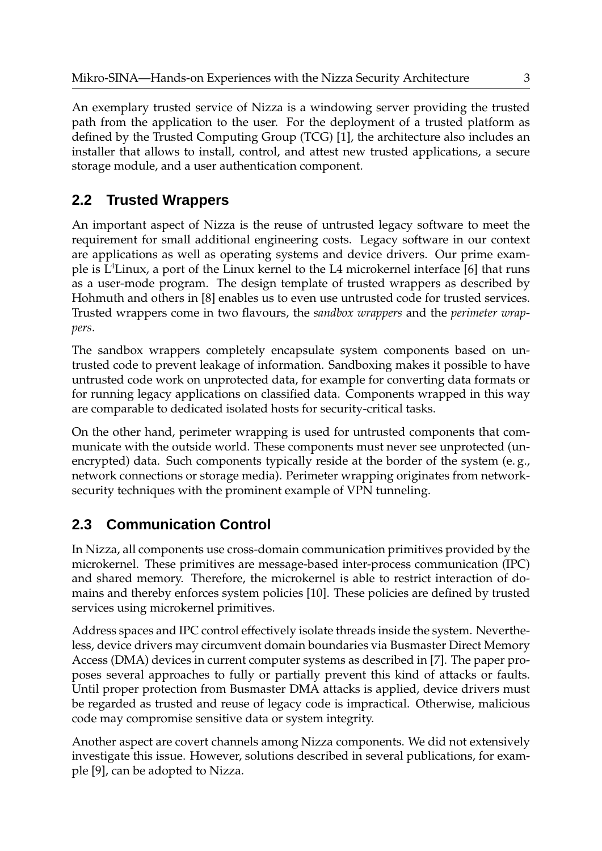An exemplary trusted service of Nizza is a windowing server providing the trusted path from the application to the user. For the deployment of a trusted platform as defined by the Trusted Computing Group (TCG) [1], the architecture also includes an installer that allows to install, control, and attest new trusted applications, a secure storage module, and a user authentication component.

### **2.2 Trusted Wrappers**

An important aspect of Nizza is the reuse of untrusted legacy software to meet the requirement for small additional engineering costs. Legacy software in our context are applications as well as operating systems and device drivers. Our prime example is  $L^4$ Linux, a port of the Linux kernel to the L4 microkernel interface [6] that runs as a user-mode program. The design template of trusted wrappers as described by Hohmuth and others in [8] enables us to even use untrusted code for trusted services. Trusted wrappers come in two flavours, the *sandbox wrappers* and the *perimeter wrappers*.

The sandbox wrappers completely encapsulate system components based on untrusted code to prevent leakage of information. Sandboxing makes it possible to have untrusted code work on unprotected data, for example for converting data formats or for running legacy applications on classified data. Components wrapped in this way are comparable to dedicated isolated hosts for security-critical tasks.

On the other hand, perimeter wrapping is used for untrusted components that communicate with the outside world. These components must never see unprotected (unencrypted) data. Such components typically reside at the border of the system (e.g., network connections or storage media). Perimeter wrapping originates from networksecurity techniques with the prominent example of VPN tunneling.

# **2.3 Communication Control**

In Nizza, all components use cross-domain communication primitives provided by the microkernel. These primitives are message-based inter-process communication (IPC) and shared memory. Therefore, the microkernel is able to restrict interaction of domains and thereby enforces system policies [10]. These policies are defined by trusted services using microkernel primitives.

Address spaces and IPC control effectively isolate threads inside the system. Nevertheless, device drivers may circumvent domain boundaries via Busmaster Direct Memory Access (DMA) devices in current computer systems as described in [7]. The paper proposes several approaches to fully or partially prevent this kind of attacks or faults. Until proper protection from Busmaster DMA attacks is applied, device drivers must be regarded as trusted and reuse of legacy code is impractical. Otherwise, malicious code may compromise sensitive data or system integrity.

Another aspect are covert channels among Nizza components. We did not extensively investigate this issue. However, solutions described in several publications, for example [9], can be adopted to Nizza.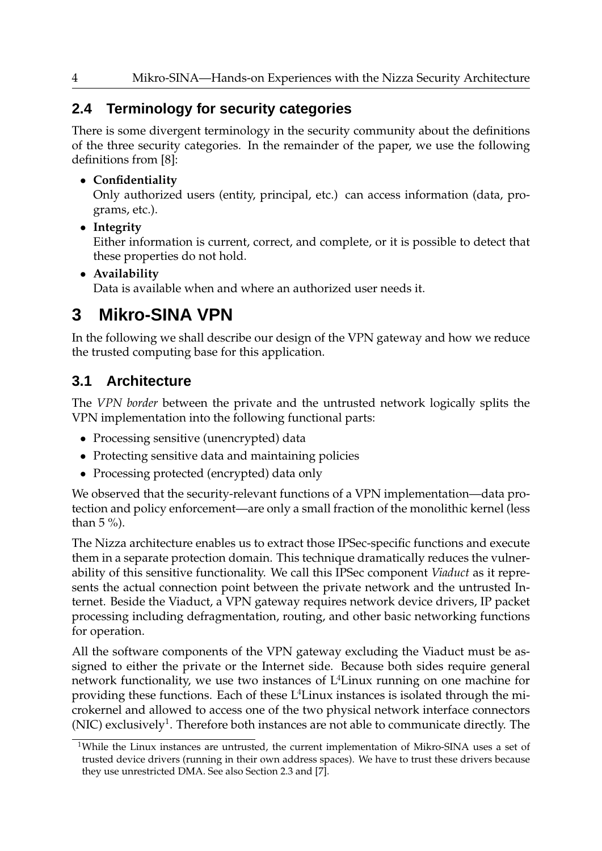### **2.4 Terminology for security categories**

There is some divergent terminology in the security community about the definitions of the three security categories. In the remainder of the paper, we use the following definitions from [8]:

#### • **Confidentiality**

Only authorized users (entity, principal, etc.) can access information (data, programs, etc.).

• **Integrity**

Either information is current, correct, and complete, or it is possible to detect that these properties do not hold.

#### • **Availability**

Data is available when and where an authorized user needs it.

# **3 Mikro-SINA VPN**

In the following we shall describe our design of the VPN gateway and how we reduce the trusted computing base for this application.

# **3.1 Architecture**

The *VPN border* between the private and the untrusted network logically splits the VPN implementation into the following functional parts:

- Processing sensitive (unencrypted) data
- Protecting sensitive data and maintaining policies
- Processing protected (encrypted) data only

We observed that the security-relevant functions of a VPN implementation—data protection and policy enforcement—are only a small fraction of the monolithic kernel (less than  $5\%$ ).

The Nizza architecture enables us to extract those IPSec-specific functions and execute them in a separate protection domain. This technique dramatically reduces the vulnerability of this sensitive functionality. We call this IPSec component *Viaduct* as it represents the actual connection point between the private network and the untrusted Internet. Beside the Viaduct, a VPN gateway requires network device drivers, IP packet processing including defragmentation, routing, and other basic networking functions for operation.

All the software components of the VPN gateway excluding the Viaduct must be assigned to either the private or the Internet side. Because both sides require general network functionality, we use two instances of  $L<sup>4</sup>$ Linux running on one machine for providing these functions. Each of these  $L<sup>4</sup>$  Linux instances is isolated through the microkernel and allowed to access one of the two physical network interface connectors (NIC) exclusively<sup>1</sup>. Therefore both instances are not able to communicate directly. The

<sup>&</sup>lt;sup>1</sup>While the Linux instances are untrusted, the current implementation of Mikro-SINA uses a set of trusted device drivers (running in their own address spaces). We have to trust these drivers because they use unrestricted DMA. See also Section 2.3 and [7].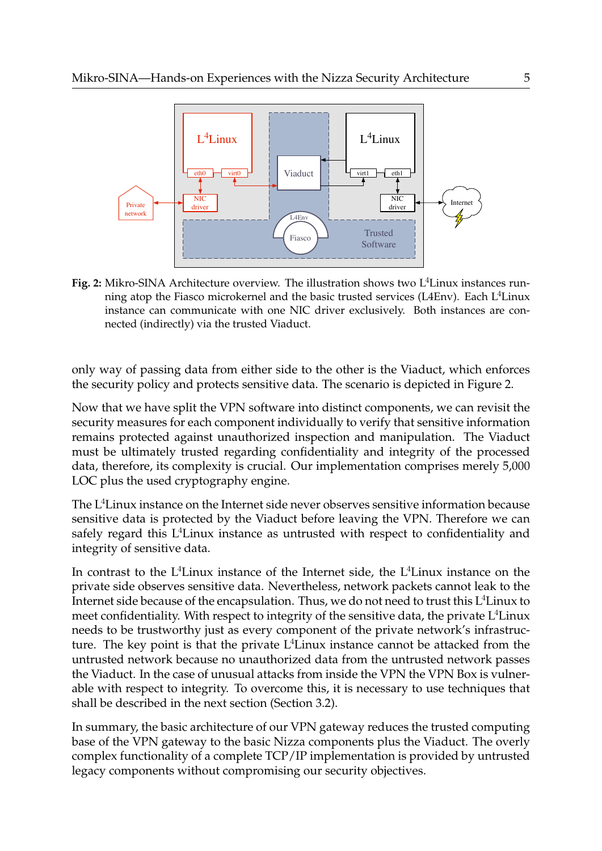

Fig. 2: Mikro-SINA Architecture overview. The illustration shows two L<sup>4</sup>Linux instances running atop the Fiasco microkernel and the basic trusted services (L4Env). Each  $L^4$ Linux instance can communicate with one NIC driver exclusively. Both instances are connected (indirectly) via the trusted Viaduct.

only way of passing data from either side to the other is the Viaduct, which enforces the security policy and protects sensitive data. The scenario is depicted in Figure 2.

Now that we have split the VPN software into distinct components, we can revisit the security measures for each component individually to verify that sensitive information remains protected against unauthorized inspection and manipulation. The Viaduct must be ultimately trusted regarding confidentiality and integrity of the processed data, therefore, its complexity is crucial. Our implementation comprises merely 5,000 LOC plus the used cryptography engine.

The L<sup>4</sup>Linux instance on the Internet side never observes sensitive information because sensitive data is protected by the Viaduct before leaving the VPN. Therefore we can safely regard this  $L^4$ Linux instance as untrusted with respect to confidentiality and integrity of sensitive data.

In contrast to the L<sup>4</sup>Linux instance of the Internet side, the L<sup>4</sup>Linux instance on the private side observes sensitive data. Nevertheless, network packets cannot leak to the Internet side because of the encapsulation. Thus, we do not need to trust this  $L^4$ Linux to meet confidentiality. With respect to integrity of the sensitive data, the private  $L<sup>4</sup>$ Linux needs to be trustworthy just as every component of the private network's infrastructure. The key point is that the private  $L<sup>4</sup>$  Linux instance cannot be attacked from the untrusted network because no unauthorized data from the untrusted network passes the Viaduct. In the case of unusual attacks from inside the VPN the VPN Box is vulnerable with respect to integrity. To overcome this, it is necessary to use techniques that shall be described in the next section (Section 3.2).

In summary, the basic architecture of our VPN gateway reduces the trusted computing base of the VPN gateway to the basic Nizza components plus the Viaduct. The overly complex functionality of a complete TCP/IP implementation is provided by untrusted legacy components without compromising our security objectives.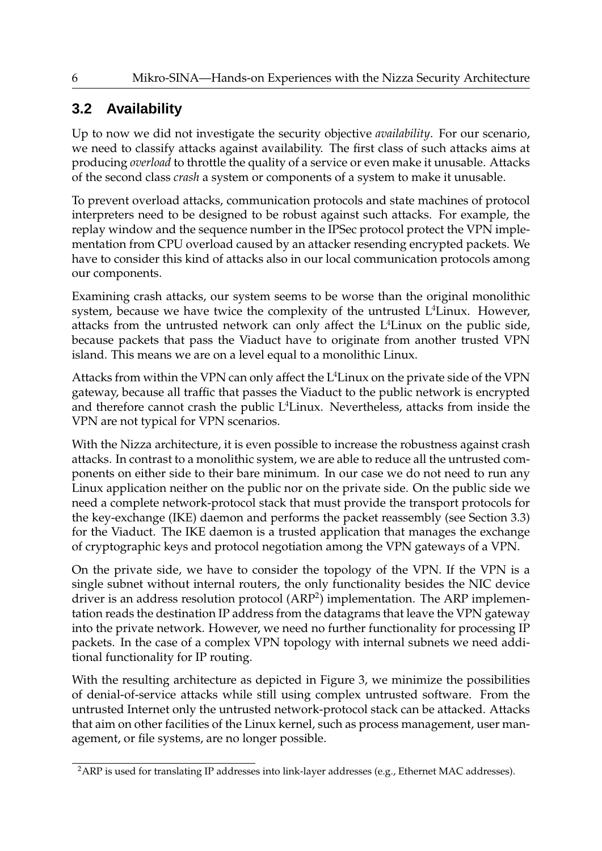# **3.2 Availability**

Up to now we did not investigate the security objective *availability*. For our scenario, we need to classify attacks against availability. The first class of such attacks aims at producing *overload* to throttle the quality of a service or even make it unusable. Attacks of the second class *crash* a system or components of a system to make it unusable.

To prevent overload attacks, communication protocols and state machines of protocol interpreters need to be designed to be robust against such attacks. For example, the replay window and the sequence number in the IPSec protocol protect the VPN implementation from CPU overload caused by an attacker resending encrypted packets. We have to consider this kind of attacks also in our local communication protocols among our components.

Examining crash attacks, our system seems to be worse than the original monolithic system, because we have twice the complexity of the untrusted  $L<sup>4</sup>$ Linux. However, attacks from the untrusted network can only affect the  $L<sup>4</sup>$ Linux on the public side, because packets that pass the Viaduct have to originate from another trusted VPN island. This means we are on a level equal to a monolithic Linux.

Attacks from within the VPN can only affect the  $L<sup>4</sup>$ Linux on the private side of the VPN gateway, because all traffic that passes the Viaduct to the public network is encrypted and therefore cannot crash the public  $L<sup>4</sup>$ Linux. Nevertheless, attacks from inside the VPN are not typical for VPN scenarios.

With the Nizza architecture, it is even possible to increase the robustness against crash attacks. In contrast to a monolithic system, we are able to reduce all the untrusted components on either side to their bare minimum. In our case we do not need to run any Linux application neither on the public nor on the private side. On the public side we need a complete network-protocol stack that must provide the transport protocols for the key-exchange (IKE) daemon and performs the packet reassembly (see Section 3.3) for the Viaduct. The IKE daemon is a trusted application that manages the exchange of cryptographic keys and protocol negotiation among the VPN gateways of a VPN.

On the private side, we have to consider the topology of the VPN. If the VPN is a single subnet without internal routers, the only functionality besides the NIC device driver is an address resolution protocol ( $ARP<sup>2</sup>$ ) implementation. The ARP implementation reads the destination IP address from the datagrams that leave the VPN gateway into the private network. However, we need no further functionality for processing IP packets. In the case of a complex VPN topology with internal subnets we need additional functionality for IP routing.

With the resulting architecture as depicted in Figure 3, we minimize the possibilities of denial-of-service attacks while still using complex untrusted software. From the untrusted Internet only the untrusted network-protocol stack can be attacked. Attacks that aim on other facilities of the Linux kernel, such as process management, user management, or file systems, are no longer possible.

<sup>&</sup>lt;sup>2</sup>ARP is used for translating IP addresses into link-layer addresses (e.g., Ethernet MAC addresses).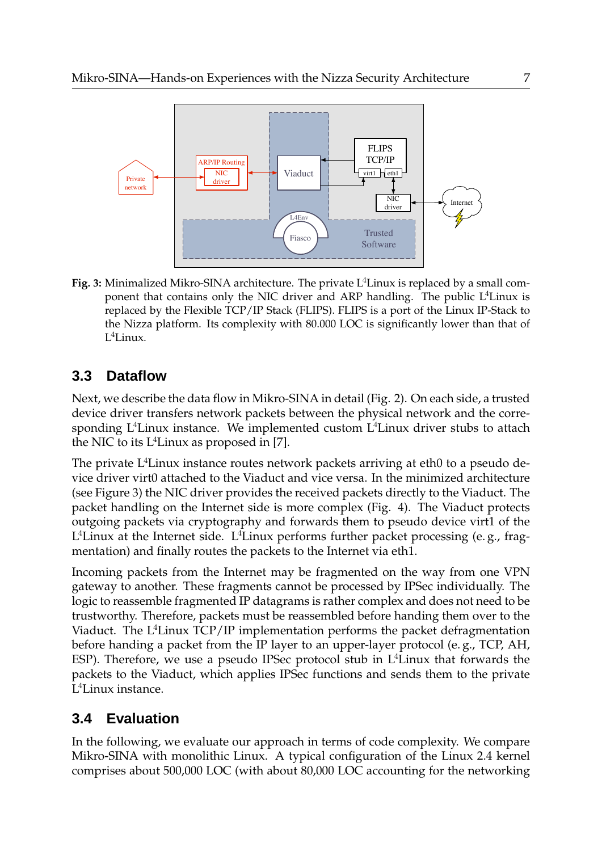

**Fig. 3:** Minimalized Mikro-SINA architecture. The private L<sup>4</sup>Linux is replaced by a small component that contains only the NIC driver and ARP handling. The public  $L^4$ Linux is replaced by the Flexible TCP/IP Stack (FLIPS). FLIPS is a port of the Linux IP-Stack to the Nizza platform. Its complexity with 80.000 LOC is significantly lower than that of L <sup>4</sup>Linux.

#### **3.3 Dataflow**

Next, we describe the data flow in Mikro-SINA in detail (Fig. 2). On each side, a trusted device driver transfers network packets between the physical network and the corresponding  $L^4$ Linux instance. We implemented custom  $L^4$ Linux driver stubs to attach the NIC to its  $L^4$ Linux as proposed in [7].

The private  $L^4$ Linux instance routes network packets arriving at eth0 to a pseudo device driver virt0 attached to the Viaduct and vice versa. In the minimized architecture (see Figure 3) the NIC driver provides the received packets directly to the Viaduct. The packet handling on the Internet side is more complex (Fig. 4). The Viaduct protects outgoing packets via cryptography and forwards them to pseudo device virt1 of the L<sup>4</sup>Linux at the Internet side. L<sup>4</sup>Linux performs further packet processing (e.g., fragmentation) and finally routes the packets to the Internet via eth1.

Incoming packets from the Internet may be fragmented on the way from one VPN gateway to another. These fragments cannot be processed by IPSec individually. The logic to reassemble fragmented IP datagrams is rather complex and does not need to be trustworthy. Therefore, packets must be reassembled before handing them over to the Viaduct. The L<sup>4</sup>Linux TCP/IP implementation performs the packet defragmentation before handing a packet from the IP layer to an upper-layer protocol (e. g., TCP, AH, ESP). Therefore, we use a pseudo IPSec protocol stub in L<sup>4</sup>Linux that forwards the packets to the Viaduct, which applies IPSec functions and sends them to the private L <sup>4</sup>Linux instance.

#### **3.4 Evaluation**

In the following, we evaluate our approach in terms of code complexity. We compare Mikro-SINA with monolithic Linux. A typical configuration of the Linux 2.4 kernel comprises about 500,000 LOC (with about 80,000 LOC accounting for the networking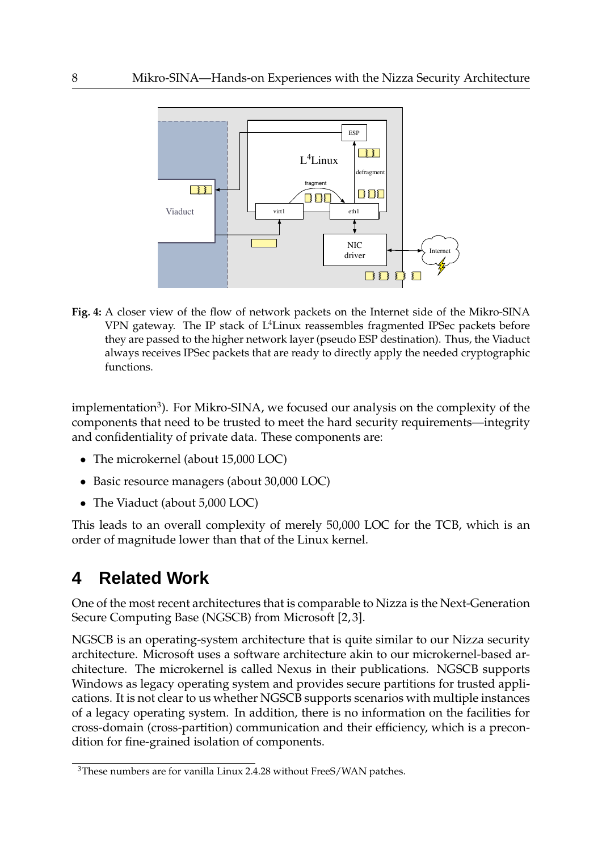

**Fig. 4:** A closer view of the flow of network packets on the Internet side of the Mikro-SINA VPN gateway. The IP stack of L<sup>4</sup>Linux reassembles fragmented IPSec packets before they are passed to the higher network layer (pseudo ESP destination). Thus, the Viaduct always receives IPSec packets that are ready to directly apply the needed cryptographic functions.

implementation $^3$ ). For Mikro-SINA, we focused our analysis on the complexity of the components that need to be trusted to meet the hard security requirements—integrity and confidentiality of private data. These components are:

- The microkernel (about 15,000 LOC)
- Basic resource managers (about 30,000 LOC)
- The Viaduct (about 5,000 LOC)

This leads to an overall complexity of merely 50,000 LOC for the TCB, which is an order of magnitude lower than that of the Linux kernel.

# **4 Related Work**

One of the most recent architectures that is comparable to Nizza is the Next-Generation Secure Computing Base (NGSCB) from Microsoft [2, 3].

NGSCB is an operating-system architecture that is quite similar to our Nizza security architecture. Microsoft uses a software architecture akin to our microkernel-based architecture. The microkernel is called Nexus in their publications. NGSCB supports Windows as legacy operating system and provides secure partitions for trusted applications. It is not clear to us whether NGSCB supports scenarios with multiple instances of a legacy operating system. In addition, there is no information on the facilities for cross-domain (cross-partition) communication and their efficiency, which is a precondition for fine-grained isolation of components.

<sup>&</sup>lt;sup>3</sup>These numbers are for vanilla Linux 2.4.28 without FreeS/WAN patches.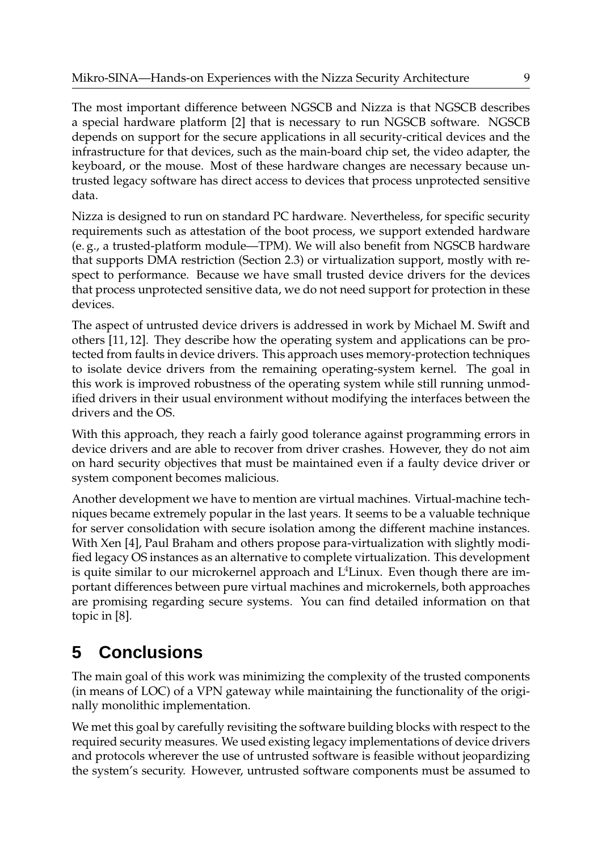The most important difference between NGSCB and Nizza is that NGSCB describes a special hardware platform [2] that is necessary to run NGSCB software. NGSCB depends on support for the secure applications in all security-critical devices and the infrastructure for that devices, such as the main-board chip set, the video adapter, the keyboard, or the mouse. Most of these hardware changes are necessary because untrusted legacy software has direct access to devices that process unprotected sensitive data.

Nizza is designed to run on standard PC hardware. Nevertheless, for specific security requirements such as attestation of the boot process, we support extended hardware (e. g., a trusted-platform module—TPM). We will also benefit from NGSCB hardware that supports DMA restriction (Section 2.3) or virtualization support, mostly with respect to performance. Because we have small trusted device drivers for the devices that process unprotected sensitive data, we do not need support for protection in these devices.

The aspect of untrusted device drivers is addressed in work by Michael M. Swift and others [11, 12]. They describe how the operating system and applications can be protected from faults in device drivers. This approach uses memory-protection techniques to isolate device drivers from the remaining operating-system kernel. The goal in this work is improved robustness of the operating system while still running unmodified drivers in their usual environment without modifying the interfaces between the drivers and the OS.

With this approach, they reach a fairly good tolerance against programming errors in device drivers and are able to recover from driver crashes. However, they do not aim on hard security objectives that must be maintained even if a faulty device driver or system component becomes malicious.

Another development we have to mention are virtual machines. Virtual-machine techniques became extremely popular in the last years. It seems to be a valuable technique for server consolidation with secure isolation among the different machine instances. With Xen [4], Paul Braham and others propose para-virtualization with slightly modified legacy OS instances as an alternative to complete virtualization. This development is quite similar to our microkernel approach and  $L<sup>4</sup>$  Linux. Even though there are important differences between pure virtual machines and microkernels, both approaches are promising regarding secure systems. You can find detailed information on that topic in [8].

# **5 Conclusions**

The main goal of this work was minimizing the complexity of the trusted components (in means of LOC) of a VPN gateway while maintaining the functionality of the originally monolithic implementation.

We met this goal by carefully revisiting the software building blocks with respect to the required security measures. We used existing legacy implementations of device drivers and protocols wherever the use of untrusted software is feasible without jeopardizing the system's security. However, untrusted software components must be assumed to